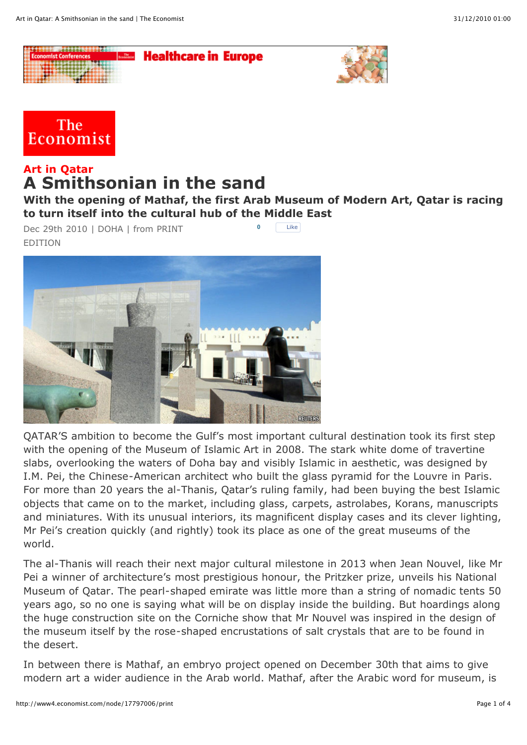





## **Art in Qatar**

## **A Smithsonian in the sand**

**With the opening of Mathaf, the first Arab Museum of Modern Art, Qatar is racing to turn itself into the cultural hub of the Middle East**

Dec 29th 2010 | DOHA | from PRINT EDITION **0** Like



QATAR'S ambition to become the Gulf's most important cultural destination took its first step with the opening of the Museum of Islamic Art in 2008. The stark white dome of travertine slabs, overlooking the waters of Doha bay and visibly Islamic in aesthetic, was designed by I.M. Pei, the Chinese-American architect who built the glass pyramid for the Louvre in Paris. For more than 20 years the al-Thanis, Qatar's ruling family, had been buying the best Islamic objects that came on to the market, including glass, carpets, astrolabes, Korans, manuscripts and miniatures. With its unusual interiors, its magnificent display cases and its clever lighting, Mr Pei's creation quickly (and rightly) took its place as one of the great museums of the world.

The al-Thanis will reach their next major cultural milestone in 2013 when Jean Nouvel, like Mr Pei a winner of architecture's most prestigious honour, the Pritzker prize, unveils his National Museum of Qatar. The pearl-shaped emirate was little more than a string of nomadic tents 50 years ago, so no one is saying what will be on display inside the building. But hoardings along the huge construction site on the Corniche show that Mr Nouvel was inspired in the design of the museum itself by the rose-shaped encrustations of salt crystals that are to be found in the desert.

In between there is Mathaf, an embryo project opened on December 30th that aims to give modern art a wider audience in the Arab world. Mathaf, after the Arabic word for museum, is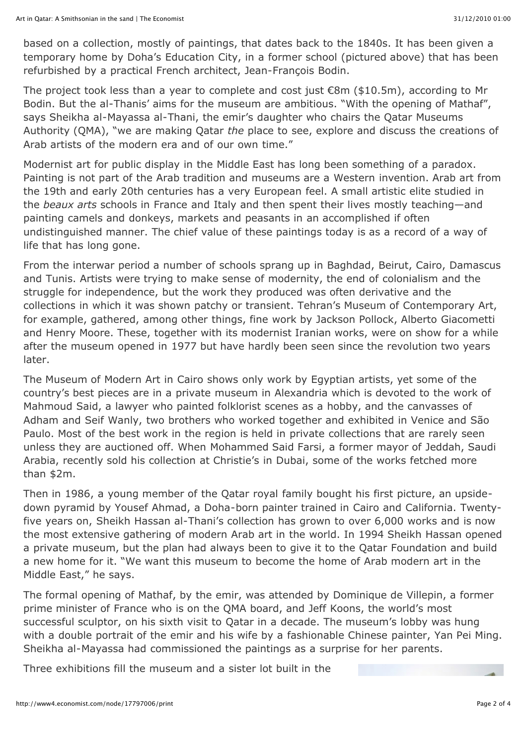based on a collection, mostly of paintings, that dates back to the 1840s. It has been given a temporary home by Doha's Education City, in a former school (pictured above) that has been refurbished by a practical French architect, Jean-François Bodin.

The project took less than a year to complete and cost just €8m (\$10.5m), according to Mr Bodin. But the al-Thanis' aims for the museum are ambitious. "With the opening of Mathaf", says Sheikha al-Mayassa al-Thani, the emir's daughter who chairs the Qatar Museums Authority (QMA), "we are making Qatar *the* place to see, explore and discuss the creations of Arab artists of the modern era and of our own time."

Modernist art for public display in the Middle East has long been something of a paradox. Painting is not part of the Arab tradition and museums are a Western invention. Arab art from the 19th and early 20th centuries has a very European feel. A small artistic elite studied in the *beaux arts* schools in France and Italy and then spent their lives mostly teaching—and painting camels and donkeys, markets and peasants in an accomplished if often undistinguished manner. The chief value of these paintings today is as a record of a way of life that has long gone.

From the interwar period a number of schools sprang up in Baghdad, Beirut, Cairo, Damascus and Tunis. Artists were trying to make sense of modernity, the end of colonialism and the struggle for independence, but the work they produced was often derivative and the collections in which it was shown patchy or transient. Tehran's Museum of Contemporary Art, for example, gathered, among other things, fine work by Jackson Pollock, Alberto Giacometti and Henry Moore. These, together with its modernist Iranian works, were on show for a while after the museum opened in 1977 but have hardly been seen since the revolution two years later.

The Museum of Modern Art in Cairo shows only work by Egyptian artists, yet some of the country's best pieces are in a private museum in Alexandria which is devoted to the work of Mahmoud Said, a lawyer who painted folklorist scenes as a hobby, and the canvasses of Adham and Seif Wanly, two brothers who worked together and exhibited in Venice and São Paulo. Most of the best work in the region is held in private collections that are rarely seen unless they are auctioned off. When Mohammed Said Farsi, a former mayor of Jeddah, Saudi Arabia, recently sold his collection at Christie's in Dubai, some of the works fetched more than \$2m.

Then in 1986, a young member of the Qatar royal family bought his first picture, an upsidedown pyramid by Yousef Ahmad, a Doha-born painter trained in Cairo and California. Twentyfive years on, Sheikh Hassan al-Thani's collection has grown to over 6,000 works and is now the most extensive gathering of modern Arab art in the world. In 1994 Sheikh Hassan opened a private museum, but the plan had always been to give it to the Qatar Foundation and build a new home for it. "We want this museum to become the home of Arab modern art in the Middle East," he says.

The formal opening of Mathaf, by the emir, was attended by Dominique de Villepin, a former prime minister of France who is on the QMA board, and Jeff Koons, the world's most successful sculptor, on his sixth visit to Qatar in a decade. The museum's lobby was hung with a double portrait of the emir and his wife by a fashionable Chinese painter, Yan Pei Ming. Sheikha al-Mayassa had commissioned the paintings as a surprise for her parents.

Three exhibitions fill the museum and a sister lot built in the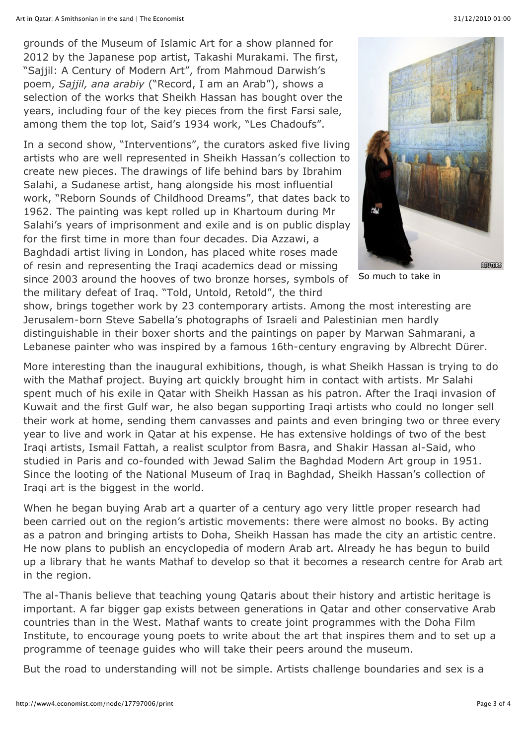grounds of the Museum of Islamic Art for a show planned for 2012 by the Japanese pop artist, Takashi Murakami. The first, "Sajjil: A Century of Modern Art", from Mahmoud Darwish's poem, *Sajjil, ana arabiy* ("Record, I am an Arab"), shows a selection of the works that Sheikh Hassan has bought over the years, including four of the key pieces from the first Farsi sale, among them the top lot, Said's 1934 work, "Les Chadoufs".

In a second show, "Interventions", the curators asked five living artists who are well represented in Sheikh Hassan's collection to create new pieces. The drawings of life behind bars by Ibrahim Salahi, a Sudanese artist, hang alongside his most influential work, "Reborn Sounds of Childhood Dreams", that dates back to 1962. The painting was kept rolled up in Khartoum during Mr Salahi's years of imprisonment and exile and is on public display for the first time in more than four decades. Dia Azzawi, a Baghdadi artist living in London, has placed white roses made of resin and representing the Iraqi academics dead or missing since 2003 around the hooves of two bronze horses, symbols of the military defeat of Iraq. "Told, Untold, Retold", the third



So much to take in

show, brings together work by 23 contemporary artists. Among the most interesting are Jerusalem-born Steve Sabella's photographs of Israeli and Palestinian men hardly distinguishable in their boxer shorts and the paintings on paper by Marwan Sahmarani, a Lebanese painter who was inspired by a famous 16th-century engraving by Albrecht Dürer.

More interesting than the inaugural exhibitions, though, is what Sheikh Hassan is trying to do with the Mathaf project. Buying art quickly brought him in contact with artists. Mr Salahi spent much of his exile in Qatar with Sheikh Hassan as his patron. After the Iraqi invasion of Kuwait and the first Gulf war, he also began supporting Iraqi artists who could no longer sell their work at home, sending them canvasses and paints and even bringing two or three every year to live and work in Qatar at his expense. He has extensive holdings of two of the best Iraqi artists, Ismail Fattah, a realist sculptor from Basra, and Shakir Hassan al-Said, who studied in Paris and co-founded with Jewad Salim the Baghdad Modern Art group in 1951. Since the looting of the National Museum of Iraq in Baghdad, Sheikh Hassan's collection of Iraqi art is the biggest in the world.

When he began buying Arab art a quarter of a century ago very little proper research had been carried out on the region's artistic movements: there were almost no books. By acting as a patron and bringing artists to Doha, Sheikh Hassan has made the city an artistic centre. He now plans to publish an encyclopedia of modern Arab art. Already he has begun to build up a library that he wants Mathaf to develop so that it becomes a research centre for Arab art in the region.

The al-Thanis believe that teaching young Qataris about their history and artistic heritage is important. A far bigger gap exists between generations in Qatar and other conservative Arab countries than in the West. Mathaf wants to create joint programmes with the Doha Film Institute, to encourage young poets to write about the art that inspires them and to set up a programme of teenage guides who will take their peers around the museum.

But the road to understanding will not be simple. Artists challenge boundaries and sex is a